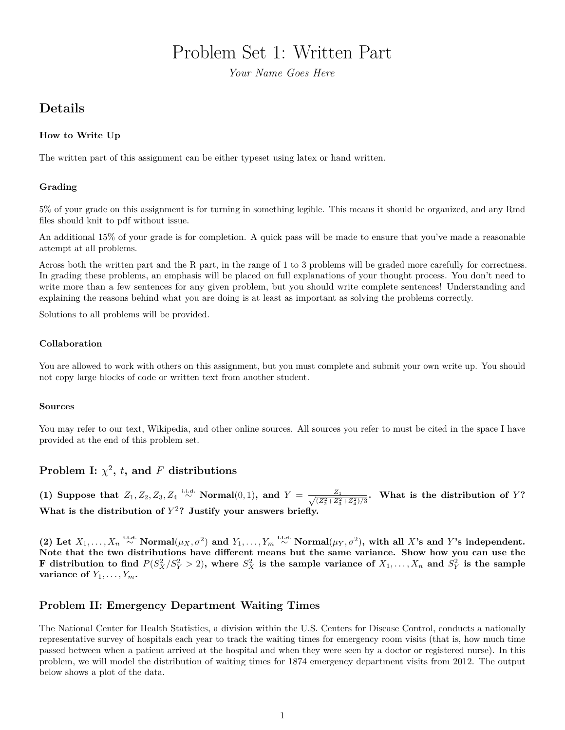# Problem Set 1: Written Part

*Your Name Goes Here*

## **Details**

#### **How to Write Up**

The written part of this assignment can be either typeset using latex or hand written.

#### **Grading**

5% of your grade on this assignment is for turning in something legible. This means it should be organized, and any Rmd files should knit to pdf without issue.

An additional 15% of your grade is for completion. A quick pass will be made to ensure that you've made a reasonable attempt at all problems.

Across both the written part and the R part, in the range of 1 to 3 problems will be graded more carefully for correctness. In grading these problems, an emphasis will be placed on full explanations of your thought process. You don't need to write more than a few sentences for any given problem, but you should write complete sentences! Understanding and explaining the reasons behind what you are doing is at least as important as solving the problems correctly.

Solutions to all problems will be provided.

#### **Collaboration**

You are allowed to work with others on this assignment, but you must complete and submit your own write up. You should not copy large blocks of code or written text from another student.

#### **Sources**

You may refer to our text, Wikipedia, and other online sources. All sources you refer to must be cited in the space I have provided at the end of this problem set.

## **Problem I:**  $\chi^2$ , *t*, and *F* distributions

(1) Suppose that  $Z_1, Z_2, Z_3, Z_4 \stackrel{\text{i.i.d.}}{\sim} \text{Normal}(0, 1)$ , and  $Y = \frac{Z_1}{\sqrt{Z_1^2 + Z_2^2}}$  $\frac{Z_1}{(\overline{Z_2^2} + \overline{Z_3^2} + \overline{Z_4^2})/3}$ . What is the distribution of Y? What is the distribution of  $Y^2$ ? Justify your answers briefly.

(2) Let  $X_1, \ldots, X_n \stackrel{\text{i.i.d.}}{\sim} \text{Normal}(\mu_X, \sigma^2)$  and  $Y_1, \ldots, Y_m \stackrel{\text{i.i.d.}}{\sim} \text{Normal}(\mu_Y, \sigma^2)$ , with all X's and Y's independent. **Note that the two distributions have different means but the same variance. Show how you can use the** F distribution to find  $P(S_X^2/S_Y^2 > 2)$ , where  $S_X^2$  is the sample variance of  $X_1, \ldots, X_n$  and  $S_Y^2$  is the sample **variance of**  $Y_1, \ldots, Y_m$ **.** 

## **Problem II: Emergency Department Waiting Times**

The National Center for Health Statistics, a division within the U.S. Centers for Disease Control, conducts a nationally representative survey of hospitals each year to track the waiting times for emergency room visits (that is, how much time passed between when a patient arrived at the hospital and when they were seen by a doctor or registered nurse). In this problem, we will model the distribution of waiting times for 1874 emergency department visits from 2012. The output below shows a plot of the data.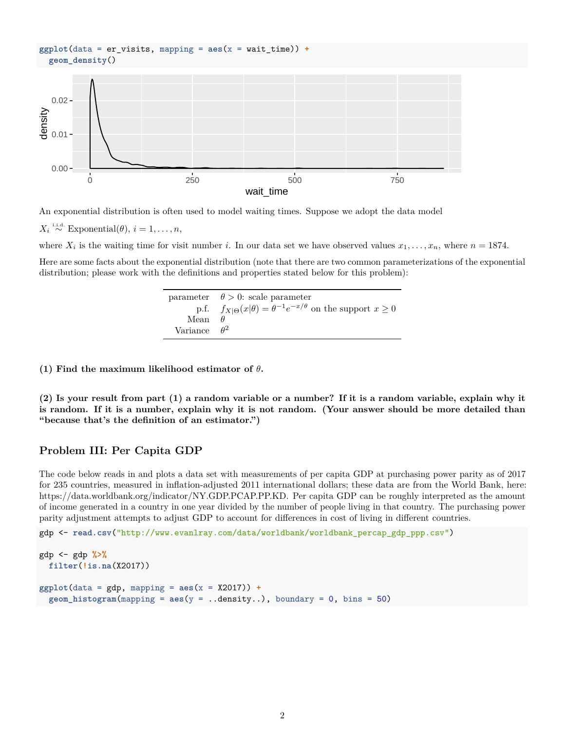#### **ggplot**(data = er\_visits, mapping = **aes**(x = wait\_time)) **+ geom\_density**()



An exponential distribution is often used to model waiting times. Suppose we adopt the data model

 $X_i \stackrel{\text{i.i.d.}}{\sim} \text{Exponential}(\theta), i = 1, \ldots, n$ ,

where  $X_i$  is the waiting time for visit number *i*. In our data set we have observed values  $x_1, \ldots, x_n$ , where  $n = 1874$ .

Here are some facts about the exponential distribution (note that there are two common parameterizations of the exponential distribution; please work with the definitions and properties stated below for this problem):

|                     | parameter $\theta > 0$ : scale parameter                                        |
|---------------------|---------------------------------------------------------------------------------|
|                     | p.f. $f_{X \Theta}(x \theta) = \theta^{-1}e^{-x/\theta}$ on the support $x > 0$ |
| Mean $\theta$       |                                                                                 |
| Variance $\theta^2$ |                                                                                 |

**(1) Find the maximum likelihood estimator of** *θ***.**

**(2) Is your result from part (1) a random variable or a number? If it is a random variable, explain why it is random. If it is a number, explain why it is not random. (Your answer should be more detailed than "because that's the definition of an estimator.")**

## **Problem III: Per Capita GDP**

The code below reads in and plots a data set with measurements of per capita GDP at purchasing power parity as of 2017 for 235 countries, measured in inflation-adjusted 2011 international dollars; these data are from the World Bank, here: [https://data.worldbank.org/indicator/NY.GDP.PCAP.PP.KD.](https://data.worldbank.org/indicator/NY.GDP.PCAP.PP.KD) Per capita GDP can be roughly interpreted as the amount of income generated in a country in one year divided by the number of people living in that country. The purchasing power parity adjustment attempts to adjust GDP to account for differences in cost of living in different countries.

gdp <- **read.csv**("http://www.evanlray.com/data/worldbank/worldbank\_percap\_gdp\_ppp.csv")

```
gdp <- gdp %>%
  filter(!is.na(X2017))
ggplot(data = gdp, mapping = aes(x = X2017)) +
  geom\_histogram(mapping = aes(y = ..density..), boundary = 0, bins = 50)
```